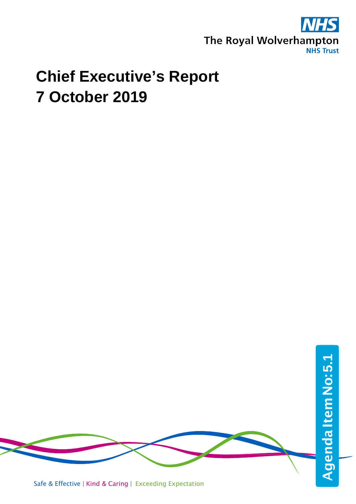

## **Chief Executive's Report 7 October 2019**



Safe & Effective | Kind & Caring | Exceeding Expectation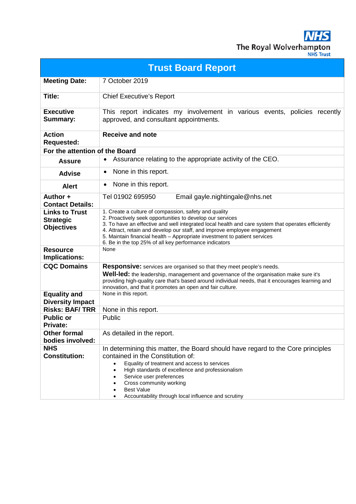**NHS** The Royal Wolverhampton

|  | <b>JHS Trust</b> |  |
|--|------------------|--|
|  |                  |  |
|  |                  |  |

| <b>Trust Board Report</b>                                      |                                                                                                                                                                                                                                                                                                                                                                                                                                              |  |  |  |
|----------------------------------------------------------------|----------------------------------------------------------------------------------------------------------------------------------------------------------------------------------------------------------------------------------------------------------------------------------------------------------------------------------------------------------------------------------------------------------------------------------------------|--|--|--|
| <b>Meeting Date:</b>                                           | 7 October 2019                                                                                                                                                                                                                                                                                                                                                                                                                               |  |  |  |
| Title:                                                         | <b>Chief Executive's Report</b>                                                                                                                                                                                                                                                                                                                                                                                                              |  |  |  |
| <b>Executive</b><br>Summary:                                   | This report indicates my involvement in various events, policies recently<br>approved, and consultant appointments.                                                                                                                                                                                                                                                                                                                          |  |  |  |
| <b>Action</b><br><b>Requested:</b>                             | <b>Receive and note</b>                                                                                                                                                                                                                                                                                                                                                                                                                      |  |  |  |
| For the attention of the Board                                 |                                                                                                                                                                                                                                                                                                                                                                                                                                              |  |  |  |
| <b>Assure</b>                                                  | Assurance relating to the appropriate activity of the CEO.<br>$\bullet$                                                                                                                                                                                                                                                                                                                                                                      |  |  |  |
| <b>Advise</b>                                                  | None in this report.<br>$\bullet$                                                                                                                                                                                                                                                                                                                                                                                                            |  |  |  |
| <b>Alert</b>                                                   | None in this report.<br>$\bullet$                                                                                                                                                                                                                                                                                                                                                                                                            |  |  |  |
| Author +<br><b>Contact Details:</b>                            | Tel 01902 695950<br>Email gayle.nightingale@nhs.net                                                                                                                                                                                                                                                                                                                                                                                          |  |  |  |
| <b>Links to Trust</b><br><b>Strategic</b><br><b>Objectives</b> | 1. Create a culture of compassion, safety and quality<br>2. Proactively seek opportunities to develop our services<br>3. To have an effective and well integrated local health and care system that operates efficiently<br>4. Attract, retain and develop our staff, and improve employee engagement<br>5. Maintain financial health - Appropriate investment to patient services<br>6. Be in the top 25% of all key performance indicators |  |  |  |
| <b>Resource</b><br>Implications:                               | None                                                                                                                                                                                                                                                                                                                                                                                                                                         |  |  |  |
| <b>CQC Domains</b>                                             | <b>Responsive:</b> services are organised so that they meet people's needs.<br><b>Well-led:</b> the leadership, management and governance of the organisation make sure it's<br>providing high-quality care that's based around individual needs, that it encourages learning and<br>innovation, and that it promotes an open and fair culture.                                                                                              |  |  |  |
| <b>Equality and</b><br><b>Diversity Impact</b>                 | None in this report.                                                                                                                                                                                                                                                                                                                                                                                                                         |  |  |  |
| <b>Risks: BAF/TRR</b>                                          | None in this report.                                                                                                                                                                                                                                                                                                                                                                                                                         |  |  |  |
| <b>Public or</b><br><b>Private:</b>                            | Public                                                                                                                                                                                                                                                                                                                                                                                                                                       |  |  |  |
| <b>Other formal</b><br>bodies involved:                        | As detailed in the report.                                                                                                                                                                                                                                                                                                                                                                                                                   |  |  |  |
| <b>NHS</b><br><b>Constitution:</b>                             | In determining this matter, the Board should have regard to the Core principles<br>contained in the Constitution of:<br>Equality of treatment and access to services<br>High standards of excellence and professionalism<br>٠<br>Service user preferences<br>Cross community working<br><b>Best Value</b><br>Accountability through local influence and scrutiny                                                                             |  |  |  |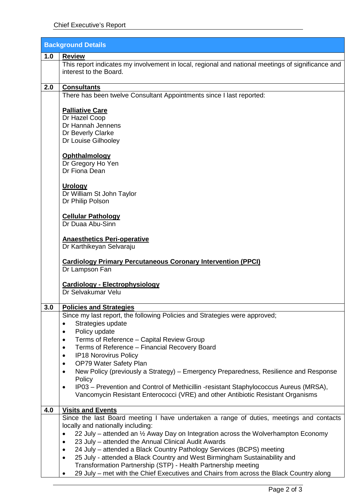| <b>Background Details</b> |                                                                                                                                                                                                                             |  |
|---------------------------|-----------------------------------------------------------------------------------------------------------------------------------------------------------------------------------------------------------------------------|--|
| 1.0                       | <b>Review</b>                                                                                                                                                                                                               |  |
|                           | This report indicates my involvement in local, regional and national meetings of significance and<br>interest to the Board.                                                                                                 |  |
| 2.0                       | <b>Consultants</b>                                                                                                                                                                                                          |  |
|                           | There has been twelve Consultant Appointments since I last reported:                                                                                                                                                        |  |
|                           | <b>Palliative Care</b><br>Dr Hazel Coop<br>Dr Hannah Jennens<br>Dr Beverly Clarke<br>Dr Louise Gilhooley                                                                                                                    |  |
|                           | Ophthalmology<br>Dr Gregory Ho Yen<br>Dr Fiona Dean                                                                                                                                                                         |  |
|                           | <b>Urology</b><br>Dr William St John Taylor<br>Dr Philip Polson                                                                                                                                                             |  |
|                           | <b>Cellular Pathology</b><br>Dr Duaa Abu-Sinn                                                                                                                                                                               |  |
|                           | <b>Anaesthetics Peri-operative</b><br>Dr Karthikeyan Selvaraju                                                                                                                                                              |  |
|                           | <b>Cardiology Primary Percutaneous Coronary Intervention (PPCI)</b><br>Dr Lampson Fan                                                                                                                                       |  |
|                           | Cardiology - Electrophysiology<br>Dr Selvakumar Velu                                                                                                                                                                        |  |
| 3.0                       | <b>Policies and Strategies</b>                                                                                                                                                                                              |  |
|                           | Since my last report, the following Policies and Strategies were approved;<br>Strategies update<br>$\bullet$<br>Policy update<br>٠                                                                                          |  |
|                           | Terms of Reference - Capital Review Group<br>٠                                                                                                                                                                              |  |
|                           | Terms of Reference - Financial Recovery Board<br>٠<br>IP18 Norovirus Policy<br>٠                                                                                                                                            |  |
|                           | OP79 Water Safety Plan<br>$\bullet$                                                                                                                                                                                         |  |
|                           | New Policy (previously a Strategy) – Emergency Preparedness, Resilience and Response<br>$\bullet$                                                                                                                           |  |
|                           | Policy<br>IP03 – Prevention and Control of Methicillin -resistant Staphylococcus Aureus (MRSA),<br>$\bullet$<br>Vancomycin Resistant Enterococci (VRE) and other Antibiotic Resistant Organisms                             |  |
| 4.0                       | <b>Visits and Events</b>                                                                                                                                                                                                    |  |
|                           | Since the last Board meeting I have undertaken a range of duties, meetings and contacts<br>locally and nationally including:                                                                                                |  |
|                           | 22 July - attended an 1/2 Away Day on Integration across the Wolverhampton Economy<br>٠<br>23 July - attended the Annual Clinical Audit Awards<br>٠<br>24 July - attended a Black Country Pathology Services (BCPS) meeting |  |
|                           | $\bullet$<br>25 July - attended a Black Country and West Birmingham Sustainability and<br>$\bullet$                                                                                                                         |  |
|                           | Transformation Partnership (STP) - Health Partnership meeting                                                                                                                                                               |  |
|                           | 29 July - met with the Chief Executives and Chairs from across the Black Country along                                                                                                                                      |  |